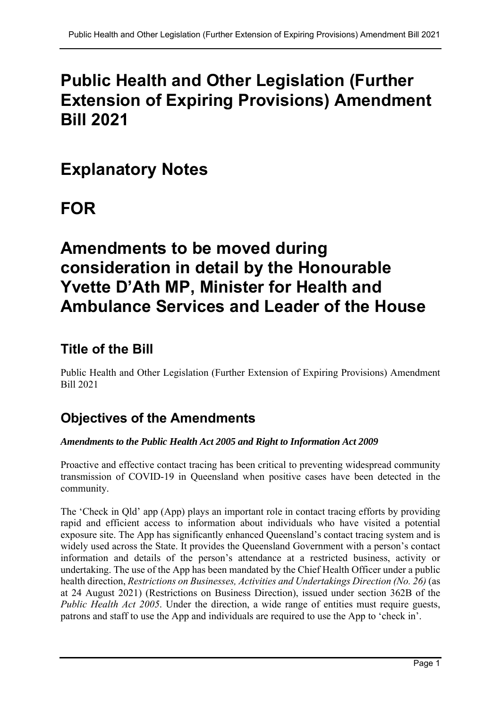# **Public Health and Other Legislation (Further Extension of Expiring Provisions) Amendment Bill 2021**

# **Explanatory Notes**

# **FOR**

# **Amendments to be moved during consideration in detail by the Honourable Yvette D'Ath MP, Minister for Health and Ambulance Services and Leader of the House**

## **Title of the Bill**

Public Health and Other Legislation (Further Extension of Expiring Provisions) Amendment Bill 2021

## **Objectives of the Amendments**

## *Amendments to the Public Health Act 2005 and Right to Information Act 2009*

Proactive and effective contact tracing has been critical to preventing widespread community transmission of COVID-19 in Queensland when positive cases have been detected in the community.

The 'Check in Qld' app (App) plays an important role in contact tracing efforts by providing rapid and efficient access to information about individuals who have visited a potential exposure site. The App has significantly enhanced Queensland's contact tracing system and is widely used across the State. It provides the Queensland Government with a person's contact information and details of the person's attendance at a restricted business, activity or undertaking. The use of the App has been mandated by the Chief Health Officer under a public health direction, *Restrictions on Businesses, Activities and Undertakings Direction (No. 26)* (as at 24 August 2021) (Restrictions on Business Direction), issued under section 362B of the *Public Health Act 2005*. Under the direction, a wide range of entities must require guests, patrons and staff to use the App and individuals are required to use the App to 'check in'.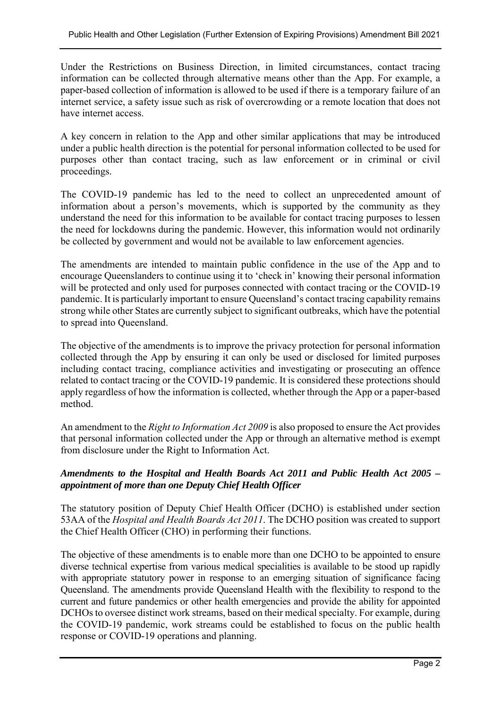Under the Restrictions on Business Direction, in limited circumstances, contact tracing information can be collected through alternative means other than the App. For example, a paper-based collection of information is allowed to be used if there is a temporary failure of an internet service, a safety issue such as risk of overcrowding or a remote location that does not have internet access.

A key concern in relation to the App and other similar applications that may be introduced under a public health direction is the potential for personal information collected to be used for purposes other than contact tracing, such as law enforcement or in criminal or civil proceedings.

The COVID-19 pandemic has led to the need to collect an unprecedented amount of information about a person's movements, which is supported by the community as they understand the need for this information to be available for contact tracing purposes to lessen the need for lockdowns during the pandemic. However, this information would not ordinarily be collected by government and would not be available to law enforcement agencies.

The amendments are intended to maintain public confidence in the use of the App and to encourage Queenslanders to continue using it to 'check in' knowing their personal information will be protected and only used for purposes connected with contact tracing or the COVID-19 pandemic. It is particularly important to ensure Queensland's contact tracing capability remains strong while other States are currently subject to significant outbreaks, which have the potential to spread into Queensland.

The objective of the amendments is to improve the privacy protection for personal information collected through the App by ensuring it can only be used or disclosed for limited purposes including contact tracing, compliance activities and investigating or prosecuting an offence related to contact tracing or the COVID-19 pandemic. It is considered these protections should apply regardless of how the information is collected, whether through the App or a paper-based method.

An amendment to the *Right to Information Act 2009* is also proposed to ensure the Act provides that personal information collected under the App or through an alternative method is exempt from disclosure under the Right to Information Act.

### *Amendments to the Hospital and Health Boards Act 2011 and Public Health Act 2005 – appointment of more than one Deputy Chief Health Officer*

The statutory position of Deputy Chief Health Officer (DCHO) is established under section 53AA of the *Hospital and Health Boards Act 2011*. The DCHO position was created to support the Chief Health Officer (CHO) in performing their functions.

The objective of these amendments is to enable more than one DCHO to be appointed to ensure diverse technical expertise from various medical specialities is available to be stood up rapidly with appropriate statutory power in response to an emerging situation of significance facing Queensland. The amendments provide Queensland Health with the flexibility to respond to the current and future pandemics or other health emergencies and provide the ability for appointed DCHOs to oversee distinct work streams, based on their medical specialty. For example, during the COVID-19 pandemic, work streams could be established to focus on the public health response or COVID-19 operations and planning.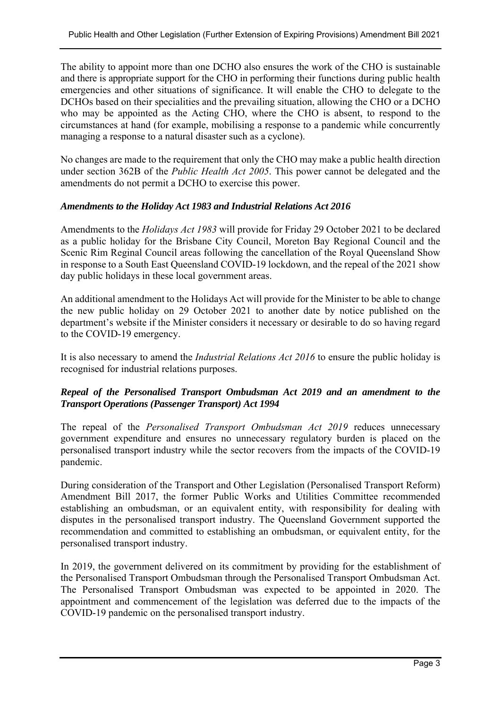The ability to appoint more than one DCHO also ensures the work of the CHO is sustainable and there is appropriate support for the CHO in performing their functions during public health emergencies and other situations of significance. It will enable the CHO to delegate to the DCHOs based on their specialities and the prevailing situation, allowing the CHO or a DCHO who may be appointed as the Acting CHO, where the CHO is absent, to respond to the circumstances at hand (for example, mobilising a response to a pandemic while concurrently managing a response to a natural disaster such as a cyclone).

No changes are made to the requirement that only the CHO may make a public health direction under section 362B of the *Public Health Act 2005*. This power cannot be delegated and the amendments do not permit a DCHO to exercise this power.

#### *Amendments to the Holiday Act 1983 and Industrial Relations Act 2016*

Amendments to the *Holidays Act 1983* will provide for Friday 29 October 2021 to be declared as a public holiday for the Brisbane City Council, Moreton Bay Regional Council and the Scenic Rim Reginal Council areas following the cancellation of the Royal Queensland Show in response to a South East Queensland COVID-19 lockdown, and the repeal of the 2021 show day public holidays in these local government areas.

An additional amendment to the Holidays Act will provide for the Minister to be able to change the new public holiday on 29 October 2021 to another date by notice published on the department's website if the Minister considers it necessary or desirable to do so having regard to the COVID-19 emergency.

It is also necessary to amend the *Industrial Relations Act 2016* to ensure the public holiday is recognised for industrial relations purposes.

### *Repeal of the Personalised Transport Ombudsman Act 2019 and an amendment to the Transport Operations (Passenger Transport) Act 1994*

The repeal of the *Personalised Transport Ombudsman Act 2019* reduces unnecessary government expenditure and ensures no unnecessary regulatory burden is placed on the personalised transport industry while the sector recovers from the impacts of the COVID-19 pandemic.

During consideration of the Transport and Other Legislation (Personalised Transport Reform) Amendment Bill 2017, the former Public Works and Utilities Committee recommended establishing an ombudsman, or an equivalent entity, with responsibility for dealing with disputes in the personalised transport industry. The Queensland Government supported the recommendation and committed to establishing an ombudsman, or equivalent entity, for the personalised transport industry.

In 2019, the government delivered on its commitment by providing for the establishment of the Personalised Transport Ombudsman through the Personalised Transport Ombudsman Act. The Personalised Transport Ombudsman was expected to be appointed in 2020. The appointment and commencement of the legislation was deferred due to the impacts of the COVID-19 pandemic on the personalised transport industry.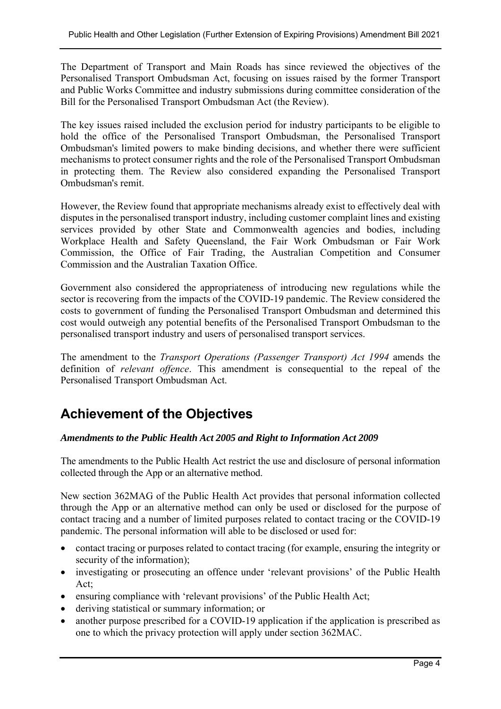The Department of Transport and Main Roads has since reviewed the objectives of the Personalised Transport Ombudsman Act, focusing on issues raised by the former Transport and Public Works Committee and industry submissions during committee consideration of the Bill for the Personalised Transport Ombudsman Act (the Review).

The key issues raised included the exclusion period for industry participants to be eligible to hold the office of the Personalised Transport Ombudsman, the Personalised Transport Ombudsman's limited powers to make binding decisions, and whether there were sufficient mechanisms to protect consumer rights and the role of the Personalised Transport Ombudsman in protecting them. The Review also considered expanding the Personalised Transport Ombudsman's remit.

However, the Review found that appropriate mechanisms already exist to effectively deal with disputes in the personalised transport industry, including customer complaint lines and existing services provided by other State and Commonwealth agencies and bodies, including Workplace Health and Safety Queensland, the Fair Work Ombudsman or Fair Work Commission, the Office of Fair Trading, the Australian Competition and Consumer Commission and the Australian Taxation Office.

Government also considered the appropriateness of introducing new regulations while the sector is recovering from the impacts of the COVID-19 pandemic. The Review considered the costs to government of funding the Personalised Transport Ombudsman and determined this cost would outweigh any potential benefits of the Personalised Transport Ombudsman to the personalised transport industry and users of personalised transport services.

The amendment to the *Transport Operations (Passenger Transport) Act 1994* amends the definition of *relevant offence*. This amendment is consequential to the repeal of the Personalised Transport Ombudsman Act.

## **Achievement of the Objectives**

#### *Amendments to the Public Health Act 2005 and Right to Information Act 2009*

The amendments to the Public Health Act restrict the use and disclosure of personal information collected through the App or an alternative method.

New section 362MAG of the Public Health Act provides that personal information collected through the App or an alternative method can only be used or disclosed for the purpose of contact tracing and a number of limited purposes related to contact tracing or the COVID-19 pandemic. The personal information will able to be disclosed or used for:

- contact tracing or purposes related to contact tracing (for example, ensuring the integrity or security of the information);
- investigating or prosecuting an offence under 'relevant provisions' of the Public Health Act;
- ensuring compliance with 'relevant provisions' of the Public Health Act;
- deriving statistical or summary information; or
- another purpose prescribed for a COVID-19 application if the application is prescribed as one to which the privacy protection will apply under section 362MAC.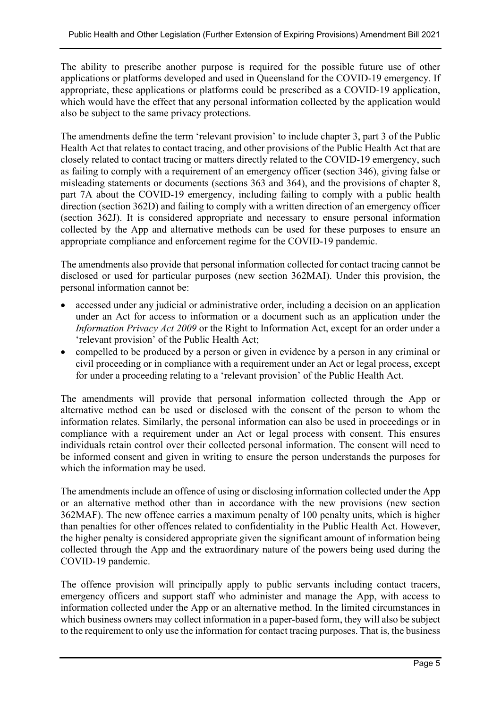The ability to prescribe another purpose is required for the possible future use of other applications or platforms developed and used in Queensland for the COVID-19 emergency. If appropriate, these applications or platforms could be prescribed as a COVID-19 application, which would have the effect that any personal information collected by the application would also be subject to the same privacy protections.

The amendments define the term 'relevant provision' to include chapter 3, part 3 of the Public Health Act that relates to contact tracing, and other provisions of the Public Health Act that are closely related to contact tracing or matters directly related to the COVID-19 emergency, such as failing to comply with a requirement of an emergency officer (section 346), giving false or misleading statements or documents (sections 363 and 364), and the provisions of chapter 8, part 7A about the COVID-19 emergency, including failing to comply with a public health direction (section 362D) and failing to comply with a written direction of an emergency officer (section 362J). It is considered appropriate and necessary to ensure personal information collected by the App and alternative methods can be used for these purposes to ensure an appropriate compliance and enforcement regime for the COVID-19 pandemic.

The amendments also provide that personal information collected for contact tracing cannot be disclosed or used for particular purposes (new section 362MAI). Under this provision, the personal information cannot be:

- accessed under any judicial or administrative order, including a decision on an application under an Act for access to information or a document such as an application under the *Information Privacy Act 2009* or the Right to Information Act, except for an order under a 'relevant provision' of the Public Health Act;
- compelled to be produced by a person or given in evidence by a person in any criminal or civil proceeding or in compliance with a requirement under an Act or legal process, except for under a proceeding relating to a 'relevant provision' of the Public Health Act.

The amendments will provide that personal information collected through the App or alternative method can be used or disclosed with the consent of the person to whom the information relates. Similarly, the personal information can also be used in proceedings or in compliance with a requirement under an Act or legal process with consent. This ensures individuals retain control over their collected personal information. The consent will need to be informed consent and given in writing to ensure the person understands the purposes for which the information may be used.

The amendments include an offence of using or disclosing information collected under the App or an alternative method other than in accordance with the new provisions (new section 362MAF). The new offence carries a maximum penalty of 100 penalty units, which is higher than penalties for other offences related to confidentiality in the Public Health Act. However, the higher penalty is considered appropriate given the significant amount of information being collected through the App and the extraordinary nature of the powers being used during the COVID-19 pandemic.

The offence provision will principally apply to public servants including contact tracers, emergency officers and support staff who administer and manage the App, with access to information collected under the App or an alternative method. In the limited circumstances in which business owners may collect information in a paper-based form, they will also be subject to the requirement to only use the information for contact tracing purposes. That is, the business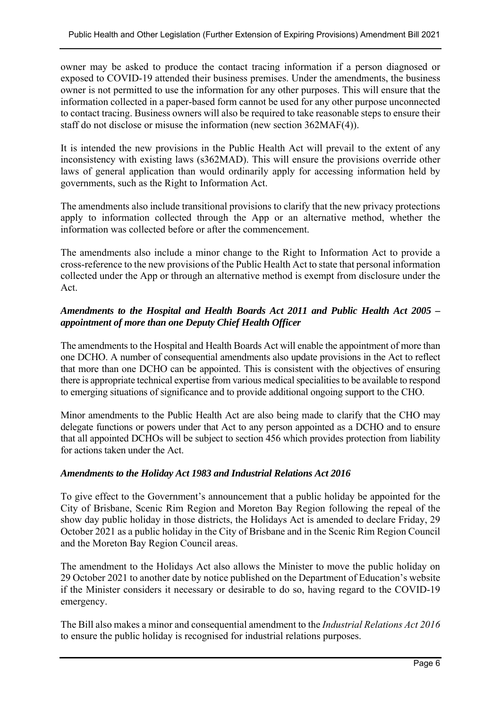owner may be asked to produce the contact tracing information if a person diagnosed or exposed to COVID-19 attended their business premises. Under the amendments, the business owner is not permitted to use the information for any other purposes. This will ensure that the information collected in a paper-based form cannot be used for any other purpose unconnected to contact tracing. Business owners will also be required to take reasonable steps to ensure their staff do not disclose or misuse the information (new section 362MAF(4)).

It is intended the new provisions in the Public Health Act will prevail to the extent of any inconsistency with existing laws (s362MAD). This will ensure the provisions override other laws of general application than would ordinarily apply for accessing information held by governments, such as the Right to Information Act.

The amendments also include transitional provisions to clarify that the new privacy protections apply to information collected through the App or an alternative method, whether the information was collected before or after the commencement.

The amendments also include a minor change to the Right to Information Act to provide a cross-reference to the new provisions of the Public Health Act to state that personal information collected under the App or through an alternative method is exempt from disclosure under the Act.

## *Amendments to the Hospital and Health Boards Act 2011 and Public Health Act 2005 – appointment of more than one Deputy Chief Health Officer*

The amendments to the Hospital and Health Boards Act will enable the appointment of more than one DCHO. A number of consequential amendments also update provisions in the Act to reflect that more than one DCHO can be appointed. This is consistent with the objectives of ensuring there is appropriate technical expertise from various medical specialities to be available to respond to emerging situations of significance and to provide additional ongoing support to the CHO.

Minor amendments to the Public Health Act are also being made to clarify that the CHO may delegate functions or powers under that Act to any person appointed as a DCHO and to ensure that all appointed DCHOs will be subject to section 456 which provides protection from liability for actions taken under the Act.

#### *Amendments to the Holiday Act 1983 and Industrial Relations Act 2016*

To give effect to the Government's announcement that a public holiday be appointed for the City of Brisbane, Scenic Rim Region and Moreton Bay Region following the repeal of the show day public holiday in those districts, the Holidays Act is amended to declare Friday, 29 October 2021 as a public holiday in the City of Brisbane and in the Scenic Rim Region Council and the Moreton Bay Region Council areas.

The amendment to the Holidays Act also allows the Minister to move the public holiday on 29 October 2021 to another date by notice published on the Department of Education's website if the Minister considers it necessary or desirable to do so, having regard to the COVID-19 emergency.

The Bill also makes a minor and consequential amendment to the *Industrial Relations Act 2016* to ensure the public holiday is recognised for industrial relations purposes.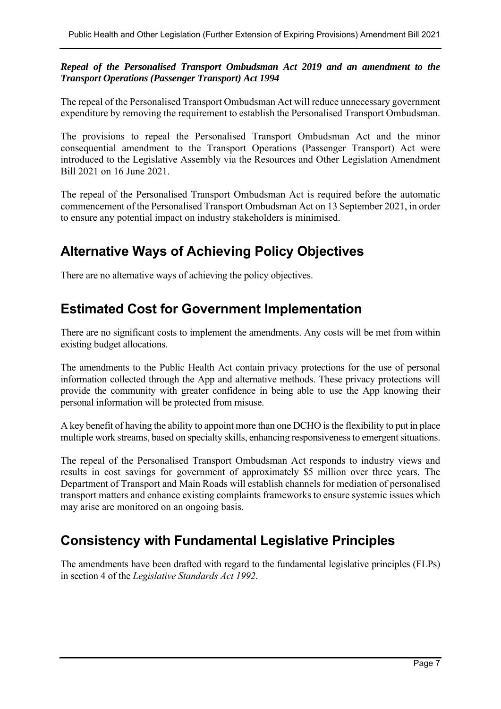#### *Repeal of the Personalised Transport Ombudsman Act 2019 and an amendment to the Transport Operations (Passenger Transport) Act 1994*

The repeal of the Personalised Transport Ombudsman Act will reduce unnecessary government expenditure by removing the requirement to establish the Personalised Transport Ombudsman.

The provisions to repeal the Personalised Transport Ombudsman Act and the minor consequential amendment to the Transport Operations (Passenger Transport) Act were introduced to the Legislative Assembly via the Resources and Other Legislation Amendment Bill 2021 on 16 June 2021.

The repeal of the Personalised Transport Ombudsman Act is required before the automatic commencement of the Personalised Transport Ombudsman Act on 13 September 2021, in order to ensure any potential impact on industry stakeholders is minimised.

## **Alternative Ways of Achieving Policy Objectives**

There are no alternative ways of achieving the policy objectives.

## **Estimated Cost for Government Implementation**

There are no significant costs to implement the amendments. Any costs will be met from within existing budget allocations.

The amendments to the Public Health Act contain privacy protections for the use of personal information collected through the App and alternative methods. These privacy protections will provide the community with greater confidence in being able to use the App knowing their personal information will be protected from misuse.

A key benefit of having the ability to appoint more than one DCHO is the flexibility to put in place multiple work streams, based on specialty skills, enhancing responsiveness to emergent situations.

The repeal of the Personalised Transport Ombudsman Act responds to industry views and results in cost savings for government of approximately \$5 million over three years. The Department of Transport and Main Roads will establish channels for mediation of personalised transport matters and enhance existing complaints frameworks to ensure systemic issues which may arise are monitored on an ongoing basis.

## **Consistency with Fundamental Legislative Principles**

The amendments have been drafted with regard to the fundamental legislative principles (FLPs) in section 4 of the *Legislative Standards Act 1992*.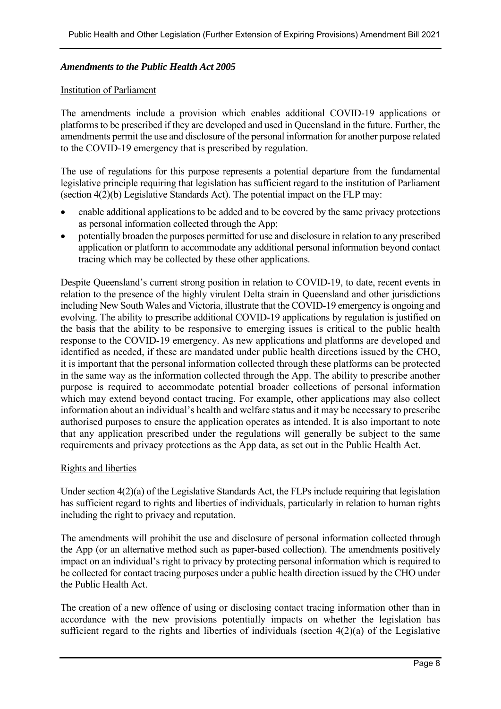#### *Amendments to the Public Health Act 2005*

#### Institution of Parliament

The amendments include a provision which enables additional COVID-19 applications or platforms to be prescribed if they are developed and used in Queensland in the future. Further, the amendments permit the use and disclosure of the personal information for another purpose related to the COVID-19 emergency that is prescribed by regulation.

The use of regulations for this purpose represents a potential departure from the fundamental legislative principle requiring that legislation has sufficient regard to the institution of Parliament (section 4(2)(b) Legislative Standards Act). The potential impact on the FLP may:

- enable additional applications to be added and to be covered by the same privacy protections as personal information collected through the App;
- potentially broaden the purposes permitted for use and disclosure in relation to any prescribed application or platform to accommodate any additional personal information beyond contact tracing which may be collected by these other applications.

Despite Queensland's current strong position in relation to COVID-19, to date, recent events in relation to the presence of the highly virulent Delta strain in Queensland and other jurisdictions including New South Wales and Victoria, illustrate that the COVID-19 emergency is ongoing and evolving. The ability to prescribe additional COVID-19 applications by regulation is justified on the basis that the ability to be responsive to emerging issues is critical to the public health response to the COVID-19 emergency. As new applications and platforms are developed and identified as needed, if these are mandated under public health directions issued by the CHO, it is important that the personal information collected through these platforms can be protected in the same way as the information collected through the App. The ability to prescribe another purpose is required to accommodate potential broader collections of personal information which may extend beyond contact tracing. For example, other applications may also collect information about an individual's health and welfare status and it may be necessary to prescribe authorised purposes to ensure the application operates as intended. It is also important to note that any application prescribed under the regulations will generally be subject to the same requirements and privacy protections as the App data, as set out in the Public Health Act.

#### Rights and liberties

Under section 4(2)(a) of the Legislative Standards Act, the FLPs include requiring that legislation has sufficient regard to rights and liberties of individuals, particularly in relation to human rights including the right to privacy and reputation.

The amendments will prohibit the use and disclosure of personal information collected through the App (or an alternative method such as paper-based collection). The amendments positively impact on an individual's right to privacy by protecting personal information which is required to be collected for contact tracing purposes under a public health direction issued by the CHO under the Public Health Act.

The creation of a new offence of using or disclosing contact tracing information other than in accordance with the new provisions potentially impacts on whether the legislation has sufficient regard to the rights and liberties of individuals (section 4(2)(a) of the Legislative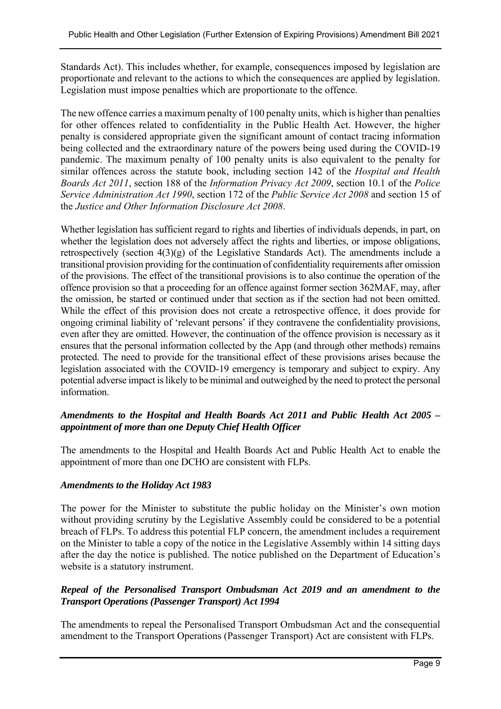Standards Act). This includes whether, for example, consequences imposed by legislation are proportionate and relevant to the actions to which the consequences are applied by legislation. Legislation must impose penalties which are proportionate to the offence.

The new offence carries a maximum penalty of 100 penalty units, which is higher than penalties for other offences related to confidentiality in the Public Health Act. However, the higher penalty is considered appropriate given the significant amount of contact tracing information being collected and the extraordinary nature of the powers being used during the COVID-19 pandemic. The maximum penalty of 100 penalty units is also equivalent to the penalty for similar offences across the statute book, including section 142 of the *Hospital and Health Boards Act 2011*, section 188 of the *Information Privacy Act 2009*, section 10.1 of the *Police Service Administration Act 1990*, section 172 of the *Public Service Act 2008* and section 15 of the *Justice and Other Information Disclosure Act 2008*.

Whether legislation has sufficient regard to rights and liberties of individuals depends, in part, on whether the legislation does not adversely affect the rights and liberties, or impose obligations, retrospectively (section 4(3)(g) of the Legislative Standards Act). The amendments include a transitional provision providing for the continuation of confidentiality requirements after omission of the provisions. The effect of the transitional provisions is to also continue the operation of the offence provision so that a proceeding for an offence against former section 362MAF, may, after the omission, be started or continued under that section as if the section had not been omitted. While the effect of this provision does not create a retrospective offence, it does provide for ongoing criminal liability of 'relevant persons' if they contravene the confidentiality provisions, even after they are omitted. However, the continuation of the offence provision is necessary as it ensures that the personal information collected by the App (and through other methods) remains protected. The need to provide for the transitional effect of these provisions arises because the legislation associated with the COVID-19 emergency is temporary and subject to expiry. Any potential adverse impact is likely to be minimal and outweighed by the need to protect the personal information.

### *Amendments to the Hospital and Health Boards Act 2011 and Public Health Act 2005 – appointment of more than one Deputy Chief Health Officer*

The amendments to the Hospital and Health Boards Act and Public Health Act to enable the appointment of more than one DCHO are consistent with FLPs.

#### *Amendments to the Holiday Act 1983*

The power for the Minister to substitute the public holiday on the Minister's own motion without providing scrutiny by the Legislative Assembly could be considered to be a potential breach of FLPs. To address this potential FLP concern, the amendment includes a requirement on the Minister to table a copy of the notice in the Legislative Assembly within 14 sitting days after the day the notice is published. The notice published on the Department of Education's website is a statutory instrument.

#### *Repeal of the Personalised Transport Ombudsman Act 2019 and an amendment to the Transport Operations (Passenger Transport) Act 1994*

The amendments to repeal the Personalised Transport Ombudsman Act and the consequential amendment to the Transport Operations (Passenger Transport) Act are consistent with FLPs.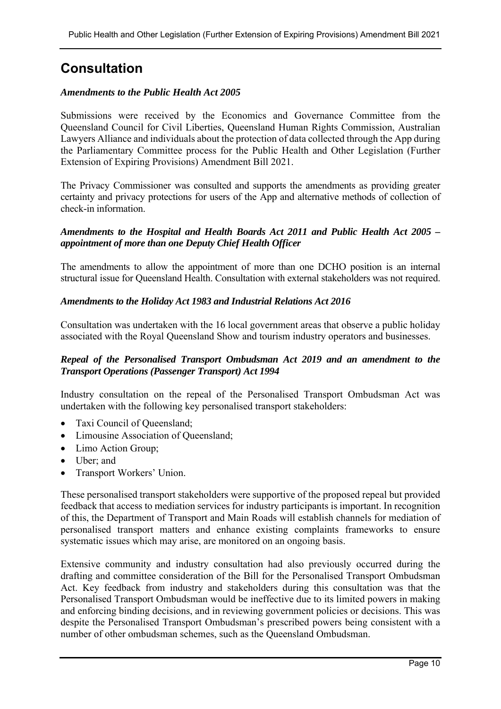## **Consultation**

#### *Amendments to the Public Health Act 2005*

Submissions were received by the Economics and Governance Committee from the Queensland Council for Civil Liberties, Queensland Human Rights Commission, Australian Lawyers Alliance and individuals about the protection of data collected through the App during the Parliamentary Committee process for the Public Health and Other Legislation (Further Extension of Expiring Provisions) Amendment Bill 2021.

The Privacy Commissioner was consulted and supports the amendments as providing greater certainty and privacy protections for users of the App and alternative methods of collection of check-in information.

#### *Amendments to the Hospital and Health Boards Act 2011 and Public Health Act 2005 – appointment of more than one Deputy Chief Health Officer*

The amendments to allow the appointment of more than one DCHO position is an internal structural issue for Queensland Health. Consultation with external stakeholders was not required.

#### *Amendments to the Holiday Act 1983 and Industrial Relations Act 2016*

Consultation was undertaken with the 16 local government areas that observe a public holiday associated with the Royal Queensland Show and tourism industry operators and businesses.

#### *Repeal of the Personalised Transport Ombudsman Act 2019 and an amendment to the Transport Operations (Passenger Transport) Act 1994*

Industry consultation on the repeal of the Personalised Transport Ombudsman Act was undertaken with the following key personalised transport stakeholders:

- Taxi Council of Queensland;
- Limousine Association of Queensland;
- Limo Action Group;
- Uber; and
- Transport Workers' Union.

These personalised transport stakeholders were supportive of the proposed repeal but provided feedback that access to mediation services for industry participants is important. In recognition of this, the Department of Transport and Main Roads will establish channels for mediation of personalised transport matters and enhance existing complaints frameworks to ensure systematic issues which may arise, are monitored on an ongoing basis.

Extensive community and industry consultation had also previously occurred during the drafting and committee consideration of the Bill for the Personalised Transport Ombudsman Act. Key feedback from industry and stakeholders during this consultation was that the Personalised Transport Ombudsman would be ineffective due to its limited powers in making and enforcing binding decisions, and in reviewing government policies or decisions. This was despite the Personalised Transport Ombudsman's prescribed powers being consistent with a number of other ombudsman schemes, such as the Queensland Ombudsman.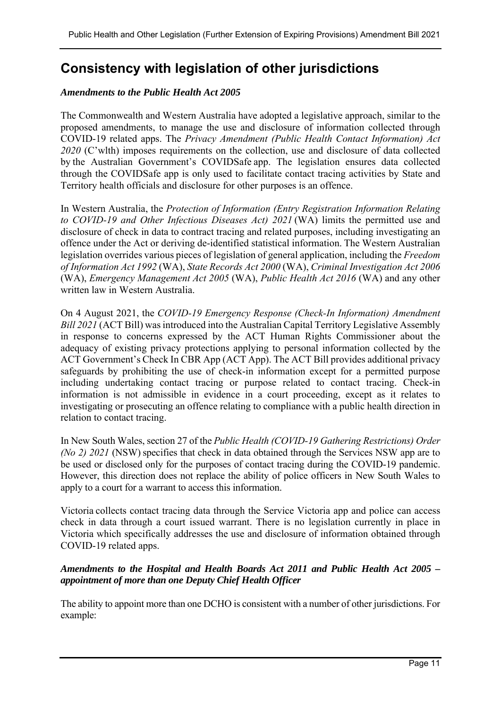## **Consistency with legislation of other jurisdictions**

#### *Amendments to the Public Health Act 2005*

The Commonwealth and Western Australia have adopted a legislative approach, similar to the proposed amendments, to manage the use and disclosure of information collected through COVID-19 related apps. The *Privacy Amendment (Public Health Contact Information) Act 2020* (C'wlth) imposes requirements on the collection, use and disclosure of data collected by the Australian Government's COVIDSafe app. The legislation ensures data collected through the COVIDSafe app is only used to facilitate contact tracing activities by State and Territory health officials and disclosure for other purposes is an offence. 

In Western Australia, the *Protection of Information (Entry Registration Information Relating to COVID-19 and Other Infectious Diseases Act) 2021* (WA) limits the permitted use and disclosure of check in data to contract tracing and related purposes, including investigating an offence under the Act or deriving de-identified statistical information. The Western Australian legislation overrides various pieces of legislation of general application, including the *Freedom of Information Act 1992* (WA), *State Records Act 2000* (WA), *Criminal Investigation Act 2006* (WA), *Emergency Management Act 2005* (WA), *Public Health Act 2016* (WA) and any other written law in Western Australia.

On 4 August 2021, the *COVID-19 Emergency Response (Check-In Information) Amendment Bill 2021* (ACT Bill) was introduced into the Australian Capital Territory Legislative Assembly in response to concerns expressed by the ACT Human Rights Commissioner about the adequacy of existing privacy protections applying to personal information collected by the ACT Government's Check In CBR App (ACT App). The ACT Bill provides additional privacy safeguards by prohibiting the use of check-in information except for a permitted purpose including undertaking contact tracing or purpose related to contact tracing. Check-in information is not admissible in evidence in a court proceeding, except as it relates to investigating or prosecuting an offence relating to compliance with a public health direction in relation to contact tracing.

In New South Wales, section 27 of the *Public Health (COVID-19 Gathering Restrictions) Order (No 2) 2021* (NSW) specifies that check in data obtained through the Services NSW app are to be used or disclosed only for the purposes of contact tracing during the COVID-19 pandemic. However, this direction does not replace the ability of police officers in New South Wales to apply to a court for a warrant to access this information.

Victoria collects contact tracing data through the Service Victoria app and police can access check in data through a court issued warrant. There is no legislation currently in place in Victoria which specifically addresses the use and disclosure of information obtained through COVID-19 related apps.

### *Amendments to the Hospital and Health Boards Act 2011 and Public Health Act 2005 – appointment of more than one Deputy Chief Health Officer*

The ability to appoint more than one DCHO is consistent with a number of other jurisdictions. For example: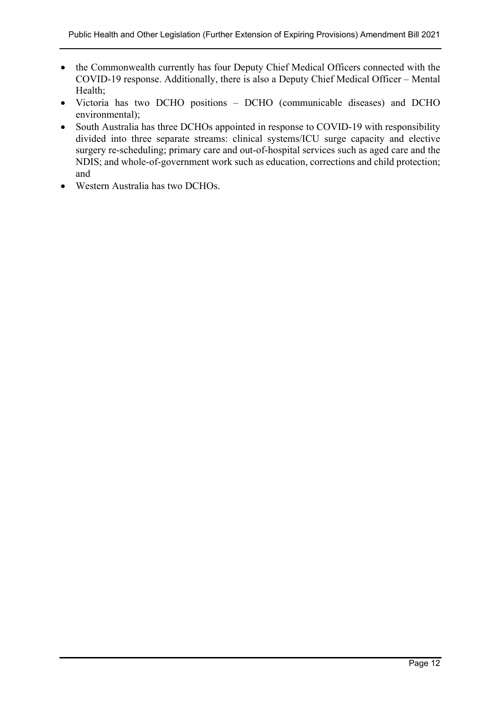- the Commonwealth currently has four Deputy Chief Medical Officers connected with the COVID-19 response. Additionally, there is also a Deputy Chief Medical Officer – Mental Health;
- Victoria has two DCHO positions DCHO (communicable diseases) and DCHO environmental);
- South Australia has three DCHOs appointed in response to COVID-19 with responsibility divided into three separate streams: clinical systems/ICU surge capacity and elective surgery re-scheduling; primary care and out-of-hospital services such as aged care and the NDIS; and whole-of-government work such as education, corrections and child protection; and
- Western Australia has two DCHOs.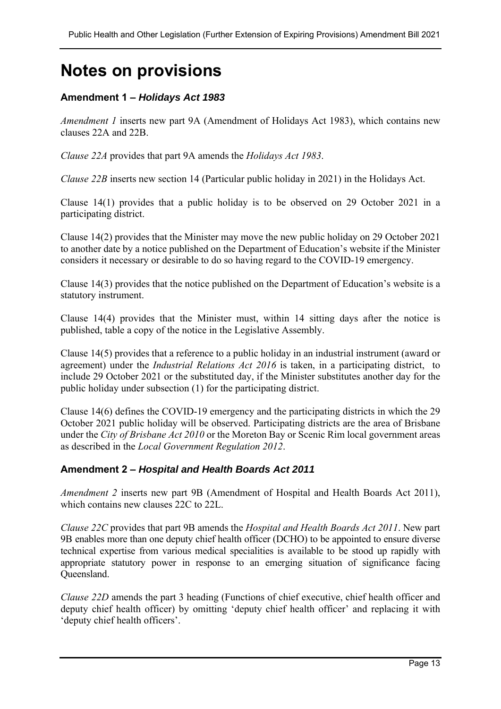# **Notes on provisions**

## **Amendment 1 –** *Holidays Act 1983*

*Amendment 1* inserts new part 9A (Amendment of Holidays Act 1983), which contains new clauses 22A and 22B.

*Clause 22A* provides that part 9A amends the *Holidays Act 1983*.

*Clause 22B* inserts new section 14 (Particular public holiday in 2021) in the Holidays Act.

Clause 14(1) provides that a public holiday is to be observed on 29 October 2021 in a participating district.

Clause 14(2) provides that the Minister may move the new public holiday on 29 October 2021 to another date by a notice published on the Department of Education's website if the Minister considers it necessary or desirable to do so having regard to the COVID-19 emergency.

Clause 14(3) provides that the notice published on the Department of Education's website is a statutory instrument.

Clause 14(4) provides that the Minister must, within 14 sitting days after the notice is published, table a copy of the notice in the Legislative Assembly.

Clause 14(5) provides that a reference to a public holiday in an industrial instrument (award or agreement) under the *Industrial Relations Act 2016* is taken, in a participating district, to include 29 October 2021 or the substituted day, if the Minister substitutes another day for the public holiday under subsection (1) for the participating district.

Clause 14(6) defines the COVID-19 emergency and the participating districts in which the 29 October 2021 public holiday will be observed. Participating districts are the area of Brisbane under the *City of Brisbane Act 2010* or the Moreton Bay or Scenic Rim local government areas as described in the *Local Government Regulation 2012*.

#### **Amendment 2 –** *Hospital and Health Boards Act 2011*

*Amendment 2* inserts new part 9B (Amendment of Hospital and Health Boards Act 2011), which contains new clauses 22C to 22L.

*Clause 22C* provides that part 9B amends the *Hospital and Health Boards Act 2011*. New part 9B enables more than one deputy chief health officer (DCHO) to be appointed to ensure diverse technical expertise from various medical specialities is available to be stood up rapidly with appropriate statutory power in response to an emerging situation of significance facing Queensland.

*Clause 22D* amends the part 3 heading (Functions of chief executive, chief health officer and deputy chief health officer) by omitting 'deputy chief health officer' and replacing it with 'deputy chief health officers'.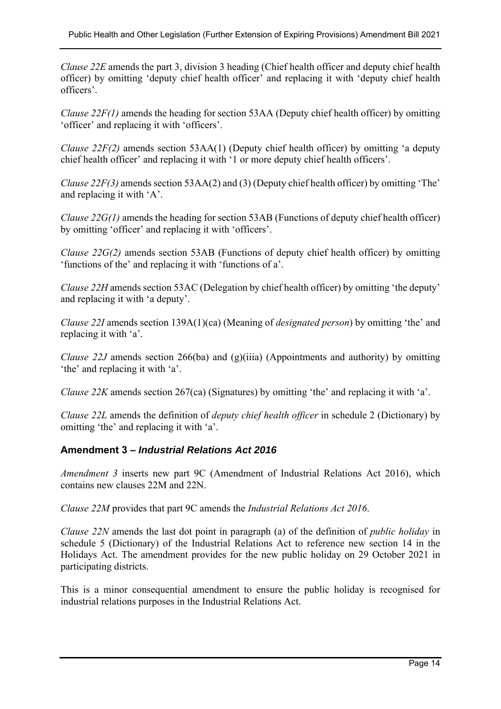*Clause 22E* amends the part 3, division 3 heading (Chief health officer and deputy chief health officer) by omitting 'deputy chief health officer' and replacing it with 'deputy chief health officers'.

*Clause 22F(1)* amends the heading for section 53AA (Deputy chief health officer) by omitting 'officer' and replacing it with 'officers'.

*Clause 22F(2)* amends section 53AA(1) (Deputy chief health officer) by omitting 'a deputy chief health officer' and replacing it with '1 or more deputy chief health officers'.

*Clause 22F(3)* amends section 53AA(2) and (3) (Deputy chief health officer) by omitting 'The' and replacing it with 'A'.

*Clause 22G(1)* amends the heading for section 53AB (Functions of deputy chief health officer) by omitting 'officer' and replacing it with 'officers'.

*Clause 22G(2)* amends section 53AB (Functions of deputy chief health officer) by omitting 'functions of the' and replacing it with 'functions of a'.

*Clause 22H* amends section 53AC (Delegation by chief health officer) by omitting 'the deputy' and replacing it with 'a deputy'.

*Clause 22I* amends section 139A(1)(ca) (Meaning of *designated person*) by omitting 'the' and replacing it with 'a'.

*Clause 22J* amends section 266(ba) and (g)(iiia) (Appointments and authority) by omitting 'the' and replacing it with 'a'.

*Clause 22K* amends section 267(ca) (Signatures) by omitting 'the' and replacing it with 'a'.

*Clause 22L* amends the definition of *deputy chief health officer* in schedule 2 (Dictionary) by omitting 'the' and replacing it with 'a'.

## **Amendment 3 –** *Industrial Relations Act 2016*

*Amendment 3* inserts new part 9C (Amendment of Industrial Relations Act 2016), which contains new clauses 22M and 22N.

*Clause 22M* provides that part 9C amends the *Industrial Relations Act 2016*.

*Clause 22N* amends the last dot point in paragraph (a) of the definition of *public holiday* in schedule 5 (Dictionary) of the Industrial Relations Act to reference new section 14 in the Holidays Act. The amendment provides for the new public holiday on 29 October 2021 in participating districts.

This is a minor consequential amendment to ensure the public holiday is recognised for industrial relations purposes in the Industrial Relations Act.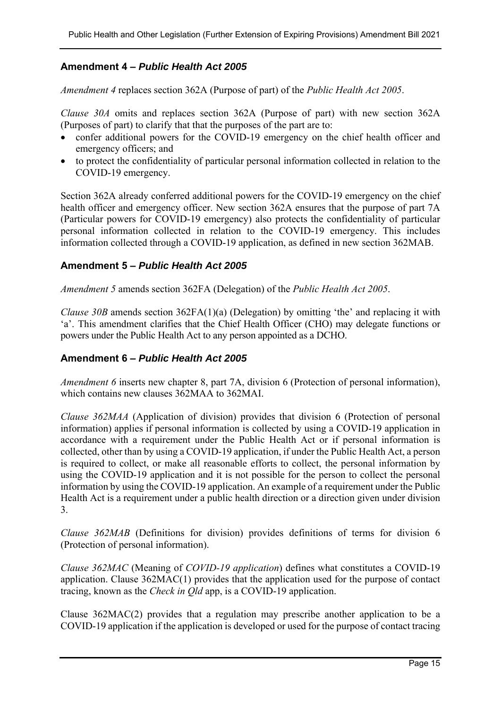## **Amendment 4 –** *Public Health Act 2005*

*Amendment 4* replaces section 362A (Purpose of part) of the *Public Health Act 2005*.

*Clause 30A* omits and replaces section 362A (Purpose of part) with new section 362A (Purposes of part) to clarify that that the purposes of the part are to:

- confer additional powers for the COVID-19 emergency on the chief health officer and emergency officers; and
- to protect the confidentiality of particular personal information collected in relation to the COVID-19 emergency.

Section 362A already conferred additional powers for the COVID-19 emergency on the chief health officer and emergency officer. New section 362A ensures that the purpose of part 7A (Particular powers for COVID-19 emergency) also protects the confidentiality of particular personal information collected in relation to the COVID-19 emergency. This includes information collected through a COVID-19 application, as defined in new section 362MAB.

#### **Amendment 5 –** *Public Health Act 2005*

*Amendment 5* amends section 362FA (Delegation) of the *Public Health Act 2005*.

*Clause 30B* amends section 362FA(1)(a) (Delegation) by omitting 'the' and replacing it with 'a'. This amendment clarifies that the Chief Health Officer (CHO) may delegate functions or powers under the Public Health Act to any person appointed as a DCHO.

## **Amendment 6 –** *Public Health Act 2005*

*Amendment 6* inserts new chapter 8, part 7A, division 6 (Protection of personal information), which contains new clauses 362MAA to 362MAI.

*Clause 362MAA* (Application of division) provides that division 6 (Protection of personal information) applies if personal information is collected by using a COVID-19 application in accordance with a requirement under the Public Health Act or if personal information is collected, other than by using a COVID-19 application, if under the Public Health Act, a person is required to collect, or make all reasonable efforts to collect, the personal information by using the COVID-19 application and it is not possible for the person to collect the personal information by using the COVID-19 application. An example of a requirement under the Public Health Act is a requirement under a public health direction or a direction given under division 3.

*Clause 362MAB* (Definitions for division) provides definitions of terms for division 6 (Protection of personal information).

*Clause 362MAC* (Meaning of *COVID-19 application*) defines what constitutes a COVID-19 application. Clause 362MAC(1) provides that the application used for the purpose of contact tracing, known as the *Check in Qld* app, is a COVID-19 application.

Clause 362MAC(2) provides that a regulation may prescribe another application to be a COVID-19 application if the application is developed or used for the purpose of contact tracing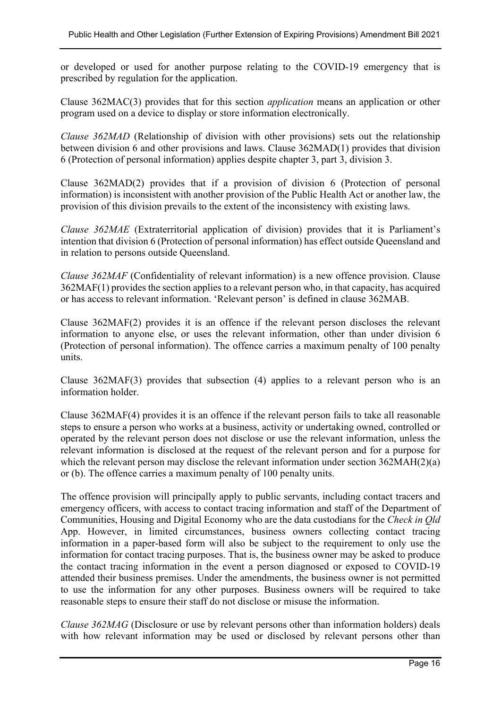or developed or used for another purpose relating to the COVID-19 emergency that is prescribed by regulation for the application.

Clause 362MAC(3) provides that for this section *application* means an application or other program used on a device to display or store information electronically.

*Clause 362MAD* (Relationship of division with other provisions) sets out the relationship between division 6 and other provisions and laws. Clause 362MAD(1) provides that division 6 (Protection of personal information) applies despite chapter 3, part 3, division 3.

Clause 362MAD(2) provides that if a provision of division 6 (Protection of personal information) is inconsistent with another provision of the Public Health Act or another law, the provision of this division prevails to the extent of the inconsistency with existing laws.

*Clause 362MAE* (Extraterritorial application of division) provides that it is Parliament's intention that division 6 (Protection of personal information) has effect outside Queensland and in relation to persons outside Queensland.

*Clause 362MAF* (Confidentiality of relevant information) is a new offence provision. Clause 362MAF(1) provides the section applies to a relevant person who, in that capacity, has acquired or has access to relevant information. 'Relevant person' is defined in clause 362MAB.

Clause 362MAF(2) provides it is an offence if the relevant person discloses the relevant information to anyone else, or uses the relevant information, other than under division 6 (Protection of personal information). The offence carries a maximum penalty of 100 penalty units.

Clause 362MAF(3) provides that subsection (4) applies to a relevant person who is an information holder.

Clause 362MAF(4) provides it is an offence if the relevant person fails to take all reasonable steps to ensure a person who works at a business, activity or undertaking owned, controlled or operated by the relevant person does not disclose or use the relevant information, unless the relevant information is disclosed at the request of the relevant person and for a purpose for which the relevant person may disclose the relevant information under section 362MAH(2)(a) or (b). The offence carries a maximum penalty of 100 penalty units.

The offence provision will principally apply to public servants, including contact tracers and emergency officers, with access to contact tracing information and staff of the Department of Communities, Housing and Digital Economy who are the data custodians for the *Check in Qld* App. However, in limited circumstances, business owners collecting contact tracing information in a paper-based form will also be subject to the requirement to only use the information for contact tracing purposes. That is, the business owner may be asked to produce the contact tracing information in the event a person diagnosed or exposed to COVID-19 attended their business premises. Under the amendments, the business owner is not permitted to use the information for any other purposes. Business owners will be required to take reasonable steps to ensure their staff do not disclose or misuse the information.

*Clause 362MAG* (Disclosure or use by relevant persons other than information holders) deals with how relevant information may be used or disclosed by relevant persons other than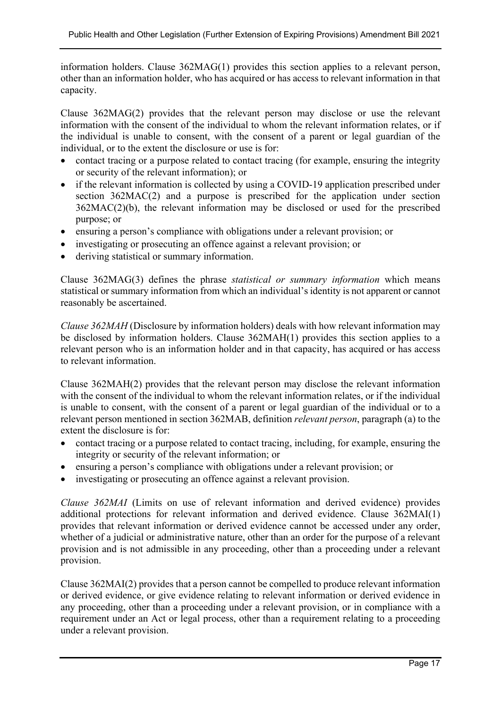information holders. Clause 362MAG(1) provides this section applies to a relevant person, other than an information holder, who has acquired or has access to relevant information in that capacity.

Clause 362MAG(2) provides that the relevant person may disclose or use the relevant information with the consent of the individual to whom the relevant information relates, or if the individual is unable to consent, with the consent of a parent or legal guardian of the individual, or to the extent the disclosure or use is for:

- contact tracing or a purpose related to contact tracing (for example, ensuring the integrity or security of the relevant information); or
- if the relevant information is collected by using a COVID-19 application prescribed under section 362MAC(2) and a purpose is prescribed for the application under section 362MAC(2)(b), the relevant information may be disclosed or used for the prescribed purpose; or
- ensuring a person's compliance with obligations under a relevant provision; or
- investigating or prosecuting an offence against a relevant provision; or
- deriving statistical or summary information.

Clause 362MAG(3) defines the phrase *statistical or summary information* which means statistical or summary information from which an individual's identity is not apparent or cannot reasonably be ascertained.

*Clause 362MAH* (Disclosure by information holders) deals with how relevant information may be disclosed by information holders. Clause 362MAH(1) provides this section applies to a relevant person who is an information holder and in that capacity, has acquired or has access to relevant information.

Clause 362MAH(2) provides that the relevant person may disclose the relevant information with the consent of the individual to whom the relevant information relates, or if the individual is unable to consent, with the consent of a parent or legal guardian of the individual or to a relevant person mentioned in section 362MAB, definition *relevant person*, paragraph (a) to the extent the disclosure is for:

- contact tracing or a purpose related to contact tracing, including, for example, ensuring the integrity or security of the relevant information; or
- ensuring a person's compliance with obligations under a relevant provision; or
- investigating or prosecuting an offence against a relevant provision.

*Clause 362MAI* (Limits on use of relevant information and derived evidence) provides additional protections for relevant information and derived evidence. Clause 362MAI(1) provides that relevant information or derived evidence cannot be accessed under any order, whether of a judicial or administrative nature, other than an order for the purpose of a relevant provision and is not admissible in any proceeding, other than a proceeding under a relevant provision.

Clause 362MAI(2) provides that a person cannot be compelled to produce relevant information or derived evidence, or give evidence relating to relevant information or derived evidence in any proceeding, other than a proceeding under a relevant provision, or in compliance with a requirement under an Act or legal process, other than a requirement relating to a proceeding under a relevant provision.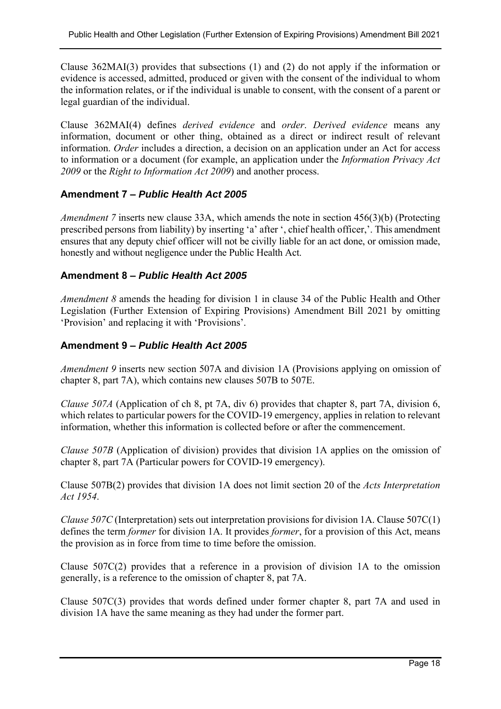Clause 362MAI(3) provides that subsections (1) and (2) do not apply if the information or evidence is accessed, admitted, produced or given with the consent of the individual to whom the information relates, or if the individual is unable to consent, with the consent of a parent or legal guardian of the individual.

Clause 362MAI(4) defines *derived evidence* and *order*. *Derived evidence* means any information, document or other thing, obtained as a direct or indirect result of relevant information. *Order* includes a direction, a decision on an application under an Act for access to information or a document (for example, an application under the *Information Privacy Act 2009* or the *Right to Information Act 2009*) and another process.

### **Amendment 7 –** *Public Health Act 2005*

*Amendment 7* inserts new clause 33A, which amends the note in section 456(3)(b) (Protecting prescribed persons from liability) by inserting 'a' after ', chief health officer,'. This amendment ensures that any deputy chief officer will not be civilly liable for an act done, or omission made, honestly and without negligence under the Public Health Act.

#### **Amendment 8 –** *Public Health Act 2005*

*Amendment 8* amends the heading for division 1 in clause 34 of the Public Health and Other Legislation (Further Extension of Expiring Provisions) Amendment Bill 2021 by omitting 'Provision' and replacing it with 'Provisions'.

### **Amendment 9 –** *Public Health Act 2005*

*Amendment 9* inserts new section 507A and division 1A (Provisions applying on omission of chapter 8, part 7A), which contains new clauses 507B to 507E.

*Clause 507A* (Application of ch 8, pt 7A, div 6) provides that chapter 8, part 7A, division 6, which relates to particular powers for the COVID-19 emergency, applies in relation to relevant information, whether this information is collected before or after the commencement.

*Clause 507B* (Application of division) provides that division 1A applies on the omission of chapter 8, part 7A (Particular powers for COVID-19 emergency).

Clause 507B(2) provides that division 1A does not limit section 20 of the *Acts Interpretation Act 1954*.

*Clause 507C* (Interpretation) sets out interpretation provisions for division 1A. Clause 507C(1) defines the term *former* for division 1A. It provides *former*, for a provision of this Act, means the provision as in force from time to time before the omission.

Clause 507C(2) provides that a reference in a provision of division 1A to the omission generally, is a reference to the omission of chapter 8, pat 7A.

Clause 507C(3) provides that words defined under former chapter 8, part 7A and used in division 1A have the same meaning as they had under the former part.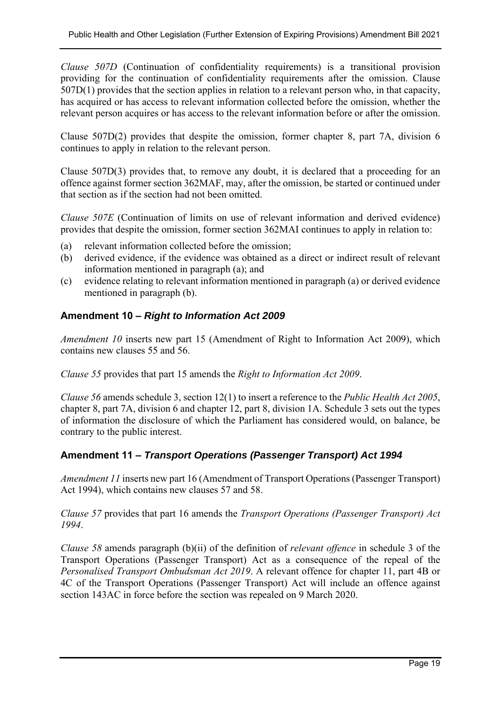*Clause 507D* (Continuation of confidentiality requirements) is a transitional provision providing for the continuation of confidentiality requirements after the omission. Clause 507D(1) provides that the section applies in relation to a relevant person who, in that capacity, has acquired or has access to relevant information collected before the omission, whether the relevant person acquires or has access to the relevant information before or after the omission.

Clause 507D(2) provides that despite the omission, former chapter 8, part 7A, division 6 continues to apply in relation to the relevant person.

Clause 507D(3) provides that, to remove any doubt, it is declared that a proceeding for an offence against former section 362MAF, may, after the omission, be started or continued under that section as if the section had not been omitted.

*Clause 507E* (Continuation of limits on use of relevant information and derived evidence) provides that despite the omission, former section 362MAI continues to apply in relation to:

- (a) relevant information collected before the omission;
- (b) derived evidence, if the evidence was obtained as a direct or indirect result of relevant information mentioned in paragraph (a); and
- (c) evidence relating to relevant information mentioned in paragraph (a) or derived evidence mentioned in paragraph (b).

## **Amendment 10 –** *Right to Information Act 2009*

*Amendment 10* inserts new part 15 (Amendment of Right to Information Act 2009), which contains new clauses 55 and 56.

*Clause 55* provides that part 15 amends the *Right to Information Act 2009*.

*Clause 56* amends schedule 3, section 12(1) to insert a reference to the *Public Health Act 2005*, chapter 8, part 7A, division 6 and chapter 12, part 8, division 1A. Schedule 3 sets out the types of information the disclosure of which the Parliament has considered would, on balance, be contrary to the public interest.

## **Amendment 11 –** *Transport Operations (Passenger Transport) Act 1994*

*Amendment 11* inserts new part 16 (Amendment of Transport Operations (Passenger Transport) Act 1994), which contains new clauses 57 and 58.

*Clause 57* provides that part 16 amends the *Transport Operations (Passenger Transport) Act 1994*.

*Clause 58* amends paragraph (b)(ii) of the definition of *relevant offence* in schedule 3 of the Transport Operations (Passenger Transport) Act as a consequence of the repeal of the *Personalised Transport Ombudsman Act 2019*. A relevant offence for chapter 11, part 4B or 4C of the Transport Operations (Passenger Transport) Act will include an offence against section 143AC in force before the section was repealed on 9 March 2020.